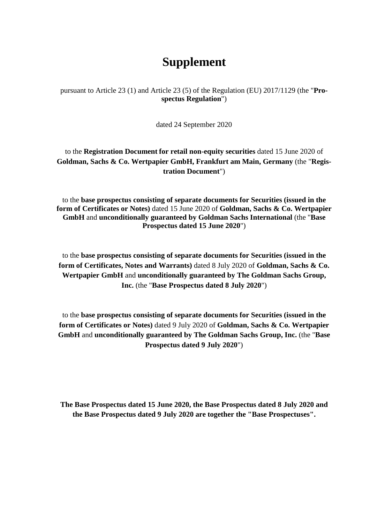# **Supplement**

pursuant to Article 23 (1) and Article 23 (5) of the Regulation (EU) 2017/1129 (the "**Prospectus Regulation**")

dated 24 September 2020

to the **Registration Document for retail non-equity securities** dated 15 June 2020 of **Goldman, Sachs & Co. Wertpapier GmbH, Frankfurt am Main, Germany** (the "**Registration Document**")

to the **base prospectus consisting of separate documents for Securities (issued in the form of Certificates or Notes)** dated 15 June 2020 of **Goldman, Sachs & Co. Wertpapier GmbH** and **unconditionally guaranteed by Goldman Sachs International** (the "**Base Prospectus dated 15 June 2020**")

to the **base prospectus consisting of separate documents for Securities (issued in the form of Certificates, Notes and Warrants)** dated 8 July 2020 of **Goldman, Sachs & Co. Wertpapier GmbH** and **unconditionally guaranteed by The Goldman Sachs Group, Inc.** (the "**Base Prospectus dated 8 July 2020**")

to the **base prospectus consisting of separate documents for Securities (issued in the form of Certificates or Notes)** dated 9 July 2020 of **Goldman, Sachs & Co. Wertpapier GmbH** and **unconditionally guaranteed by The Goldman Sachs Group, Inc.** (the "**Base Prospectus dated 9 July 2020**")

**The Base Prospectus dated 15 June 2020, the Base Prospectus dated 8 July 2020 and the Base Prospectus dated 9 July 2020 are together the "Base Prospectuses".**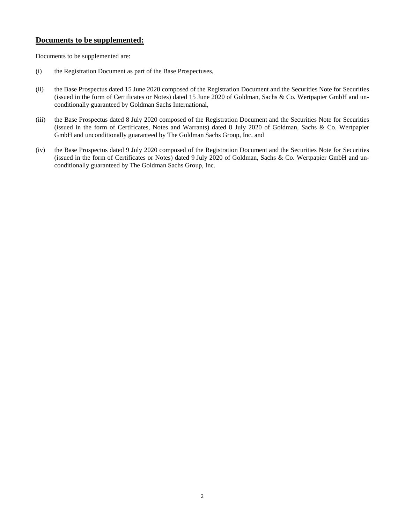# **Documents to be supplemented:**

Documents to be supplemented are:

- (i) the Registration Document as part of the Base Prospectuses,
- (ii) the Base Prospectus dated 15 June 2020 composed of the Registration Document and the Securities Note for Securities (issued in the form of Certificates or Notes) dated 15 June 2020 of Goldman, Sachs & Co. Wertpapier GmbH and unconditionally guaranteed by Goldman Sachs International,
- (iii) the Base Prospectus dated 8 July 2020 composed of the Registration Document and the Securities Note for Securities (issued in the form of Certificates, Notes and Warrants) dated 8 July 2020 of Goldman, Sachs & Co. Wertpapier GmbH and unconditionally guaranteed by The Goldman Sachs Group, Inc. and
- (iv) the Base Prospectus dated 9 July 2020 composed of the Registration Document and the Securities Note for Securities (issued in the form of Certificates or Notes) dated 9 July 2020 of Goldman, Sachs & Co. Wertpapier GmbH and unconditionally guaranteed by The Goldman Sachs Group, Inc.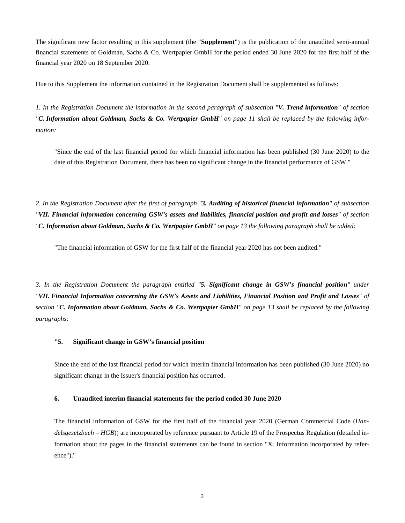The significant new factor resulting in this supplement (the "**Supplement**") is the publication of the unaudited semi-annual financial statements of Goldman, Sachs & Co. Wertpapier GmbH for the period ended 30 June 2020 for the first half of the financial year 2020 on 18 September 2020.

Due to this Supplement the information contained in the Registration Document shall be supplemented as follows:

*1. In the Registration Document the information in the second paragraph of subsection "V. Trend information" of section "C. Information about Goldman, Sachs & Co. Wertpapier GmbH" on page 11 shall be replaced by the following information:* 

"Since the end of the last financial period for which financial information has been published (30 June 2020) to the date of this Registration Document, there has been no significant change in the financial performance of GSW."

*2. In the Registration Document after the first of paragraph "3. Auditing of historical financial information" of subsection "VII. Financial information concerning GSW's assets and liabilities, financial position and profit and losses" of section "C. Information about Goldman, Sachs & Co. Wertpapier GmbH" on page 13 the following paragraph shall be added:*

"The financial information of GSW for the first half of the financial year 2020 has not been audited."

*3. In the Registration Document the paragraph entitled "5. Significant change in GSW's financial position" under "VII. Financial Information concerning the GSW's Assets and Liabilities, Financial Position and Profit and Losses" of section "C. Information about Goldman, Sachs & Co. Wertpapier GmbH" on page 13 shall be replaced by the following paragraphs:* 

## **"5. Significant change in GSW's financial position**

Since the end of the last financial period for which interim financial information has been published (30 June 2020) no significant change in the Issuer's financial position has occurred.

#### **6. Unaudited interim financial statements for the period ended 30 June 2020**

The financial information of GSW for the first half of the financial year 2020 (German Commercial Code (*Handelsgesetzbuch – HGB*)) are incorporated by reference pursuant to Article 19 of the Prospectus Regulation (detailed information about the pages in the financial statements can be found in section "X. Information incorporated by reference")."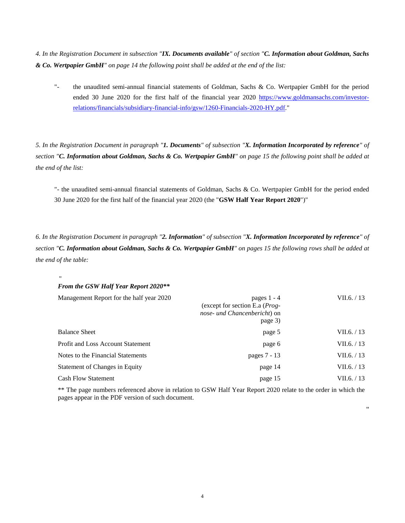*4. In the Registration Document in subsection "IX. Documents available" of section "C. Information about Goldman, Sachs & Co. Wertpapier GmbH" on page 14 the following point shall be added at the end of the list:* 

["-](http://-/) the unaudited semi-annual financial statements of Goldman, Sachs & Co. Wertpapier GmbH for the period ended 30 June 2020 for the first half of the financial year 2020 [https://www.goldmansachs.com/investor](https://www.goldmansachs.com/investor-relations/financials/subsidiary-financial-info/gsw/1260-Financials-2020-HY.pdf)[relations/financials/subsidiary-financial-info/gsw/1260-Financials-2020-HY.pdf."](https://www.goldmansachs.com/investor-relations/financials/subsidiary-financial-info/gsw/1260-Financials-2020-HY.pdf) 

*5. In the Registration Document in paragraph "1. Documents" of subsection "X. Information Incorporated by reference" of section "C. Information about Goldman, Sachs & Co. Wertpapier GmbH" on page 15 the following point shall be added at the end of the list:* 

["-](http://-/) the unaudited semi-annual financial statements of Goldman, Sachs & Co. Wertpapier GmbH for the period ended 30 June 2020 for the first half of the financial year 2020 (the "**GSW Half Year Report 2020**")"

*6. In the Registration Document in paragraph "2. Information" of subsection "X. Information Incorporated by reference" of section "C. Information about Goldman, Sachs & Co. Wertpapier GmbH" on pages 15 the following rows shall be added at the end of the table:* 

### " *From the GSW Half Year Report 2020\*\**

| Management Report for the half year 2020 | pages $1 - 4$<br>(except for section E.a $(Prog-$<br>nose- und Chancenbericht) on<br>page 3) | VII.6. $/13$  |
|------------------------------------------|----------------------------------------------------------------------------------------------|---------------|
| <b>Balance Sheet</b>                     | page 5                                                                                       | VII.6. $/13$  |
| <b>Profit and Loss Account Statement</b> | page 6                                                                                       | VII.6. $/ 13$ |
| Notes to the Financial Statements        | pages 7 - 13                                                                                 | VII.6. / 13   |
| Statement of Changes in Equity           | page 14                                                                                      | VII.6. $/ 13$ |
| <b>Cash Flow Statement</b>               | page 15                                                                                      | VII.6. $/13$  |

\*\* The page numbers referenced above in relation to GSW Half Year Report 2020 relate to the order in which the pages appear in the PDF version of such document.

"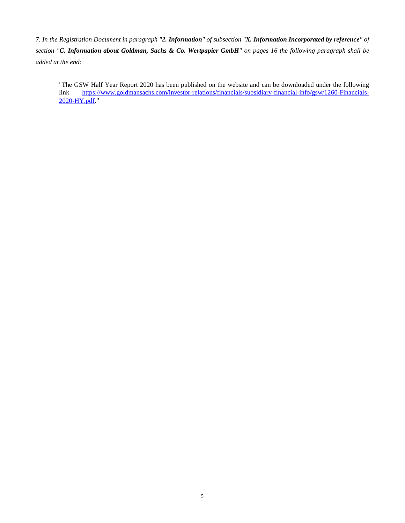*7. In the Registration Document in paragraph "2. Information" of subsection "X. Information Incorporated by reference" of section "C. Information about Goldman, Sachs & Co. Wertpapier GmbH" on pages 16 the following paragraph shall be added at the end:* 

"The GSW Half Year Report 2020 has been published on the website and can be downloaded under the following link [https://www.goldmansachs.com/investor-relations/financials/subsidiary-financial-info/gsw/1260-Financials-](https://www.goldmansachs.com/investor-relations/financials/subsidiary-financial-info/gsw/1260-Financials-2020-HY.pdf)[2020-HY.pdf](https://www.goldmansachs.com/investor-relations/financials/subsidiary-financial-info/gsw/1260-Financials-2020-HY.pdf)."